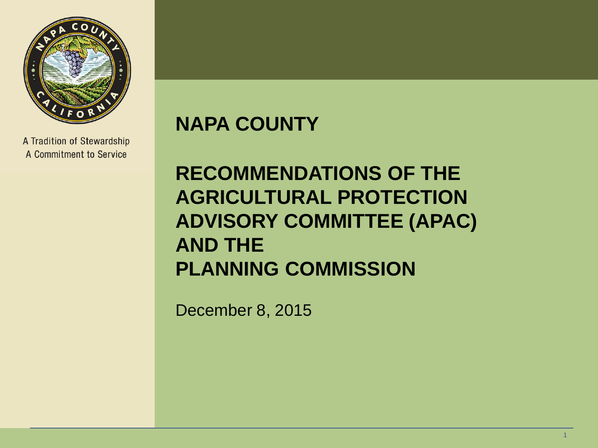

A Tradition of Stewardship A Commitment to Service

#### **NAPA COUNTY**

#### **RECOMMENDATIONS OF THE AGRICULTURAL PROTECTION ADVISORY COMMITTEE (APAC) AND THE PLANNING COMMISSION**

December 8, 2015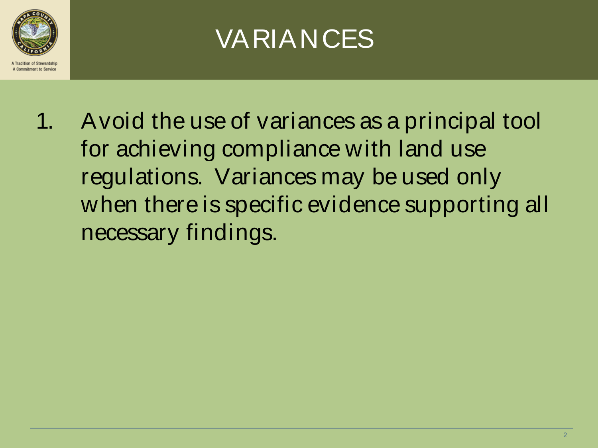

#### VARIANCES

1. Avoid the use of variances as a principal tool for achieving compliance with land use regulations. Variances may be used only when there is specific evidence supporting all necessary findings.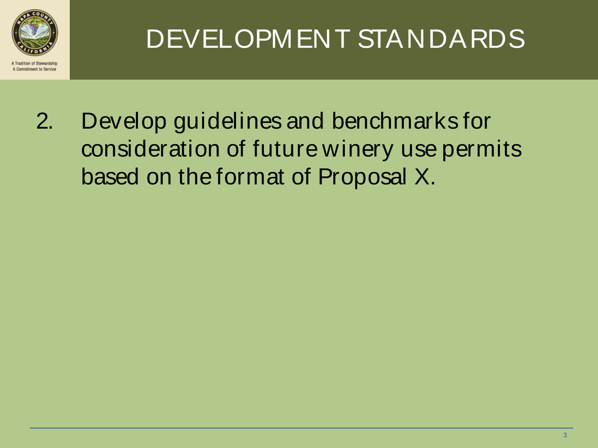

mitment to Service

### DEVELOPMENT STANDARDS

2. Develop guidelines and benchmarks for consideration of future winery use permits based on the format of Proposal X.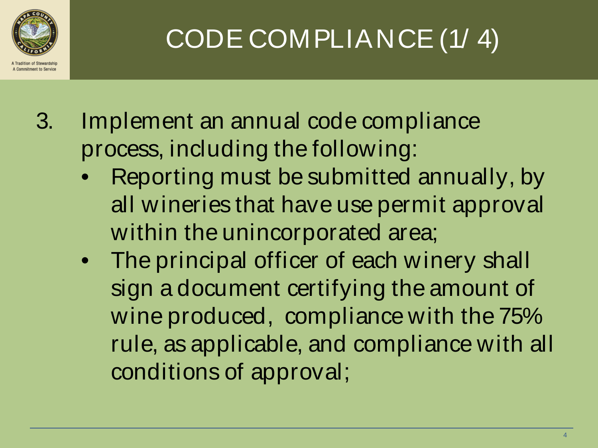

### CODE COMPLIANCE (1/ 4)

- 3. Implement an annual code compliance process, including the following:
	- Reporting must be submitted annually, by all wineries that have use permit approval within the unincorporated area;
	- The principal officer of each winery shall sign a document certifying the amount of wine produced, compliance with the 75% rule, as applicable, and compliance with all conditions of approval;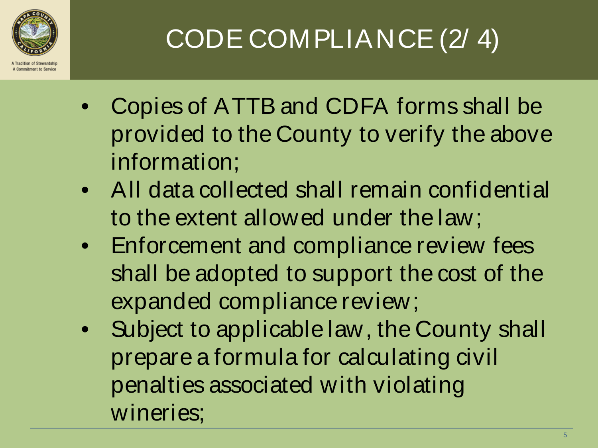

### CODE COMPLIANCE (2/ 4)

- Copies of ATTB and CDFA forms shall be provided to the County to verify the above information;
- All data collected shall remain confidential to the extent allowed under the law;
- Enforcement and compliance review fees shall be adopted to support the cost of the expanded compliance review;
- Subject to applicable law, the County shall prepare a formula for calculating civil penalties associated with violating wineries;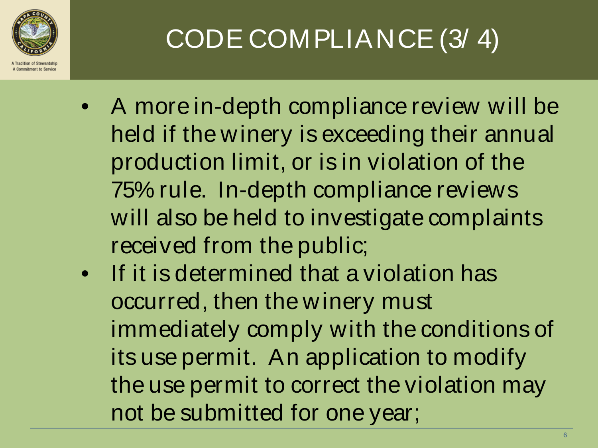

CODE COMPLIANCE (3/ 4)

- A more in-depth compliance review will be held if the winery is exceeding their annual production limit, or is in violation of the 75% rule. In-depth compliance reviews will also be held to investigate complaints received from the public;
- If it is determined that a violation has occurred, then the winery must immediately comply with the conditions of its use permit. An application to modify the use permit to correct the violation may not be submitted for one year;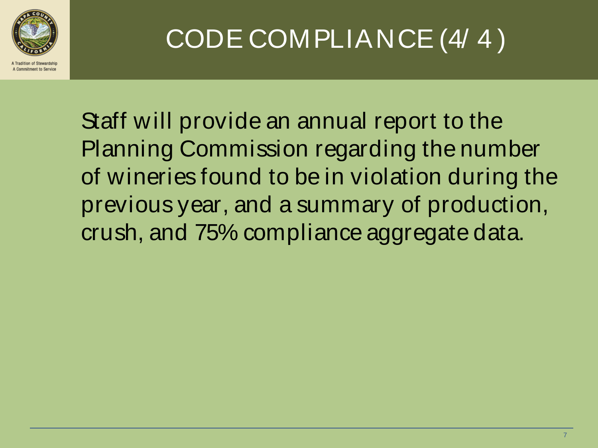

### CODE COMPLIANCE (4/ 4 )

Staff will provide an annual report to the Planning Commission regarding the number of wineries found to be in violation during the previous year, and a summary of production, crush, and 75% compliance aggregate data.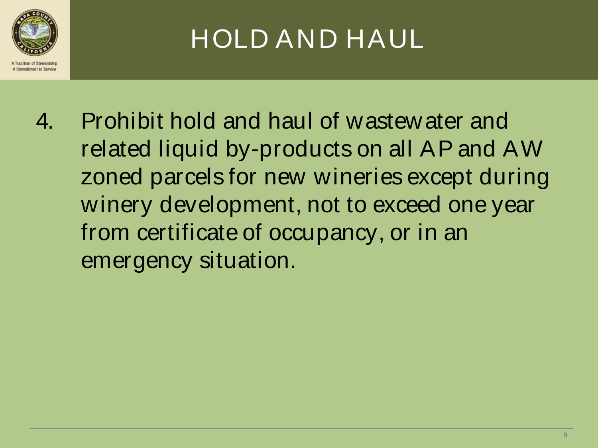

### HOLD AND HAUL

4. Prohibit hold and haul of wastewater and related liquid by-products on all AP and AW zoned parcels for new wineries except during winery development, not to exceed one year from certificate of occupancy, or in an emergency situation.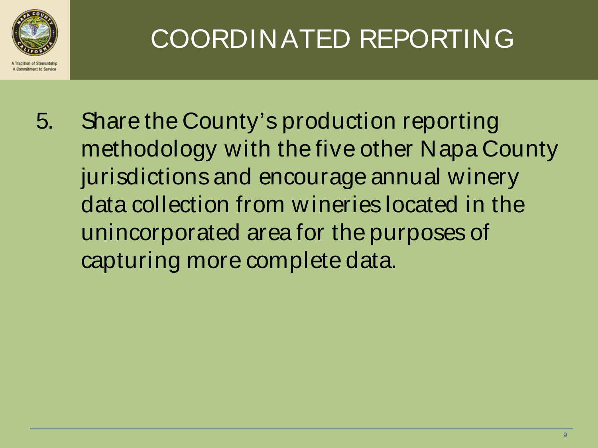

### COORDINATED REPORTING

5. Share the County's production reporting methodology with the five other Napa County jurisdictions and encourage annual winery data collection from wineries located in the unincorporated area for the purposes of capturing more complete data.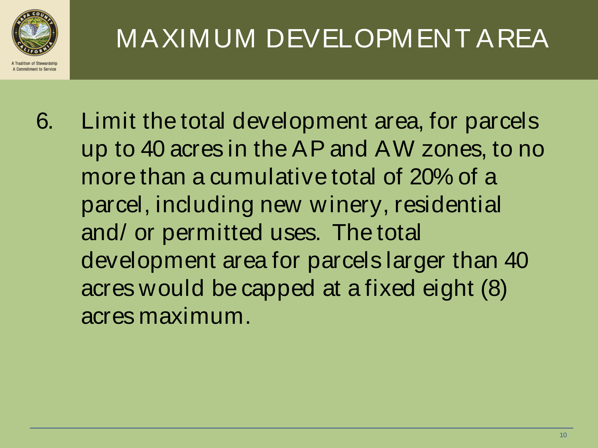

### MAXIMUM DEVELOPMENT AREA

6. Limit the total development area, for parcels up to 40 acres in the AP and AW zones, to no more than a cumulative total of 20% of a parcel, including new winery, residential and/ or permitted uses. The total development area for parcels larger than 40 acres would be capped at a fixed eight (8) acres maximum.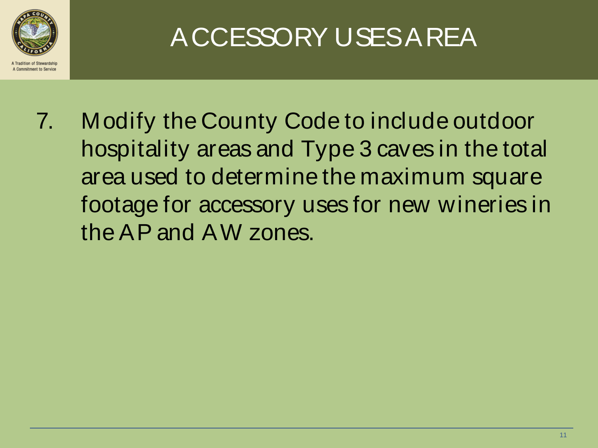

### ACCESSORY USES AREA

7. Modify the County Code to include outdoor hospitality areas and Type 3 caves in the total area used to determine the maximum square footage for accessory uses for new wineries in the AP and AW zones.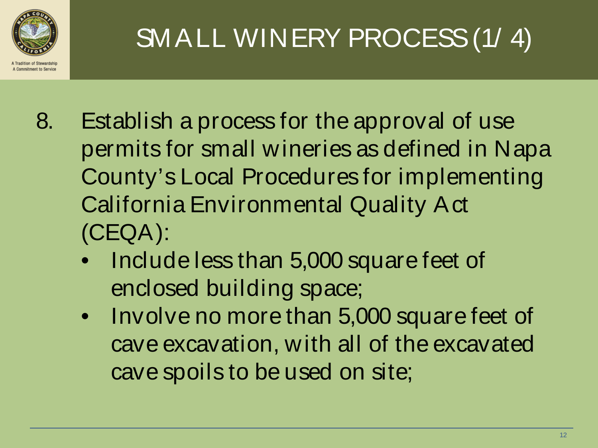

SMALL WINERY PROCESS (1/4)

- 8. Establish a process for the approval of use permits for small wineries as defined in Napa County's Local Procedures for implementing California Environmental Quality Act (CEQA):
	- Include less than 5,000 square feet of enclosed building space;
	- Involve no more than 5,000 square feet of cave excavation, with all of the excavated cave spoils to be used on site;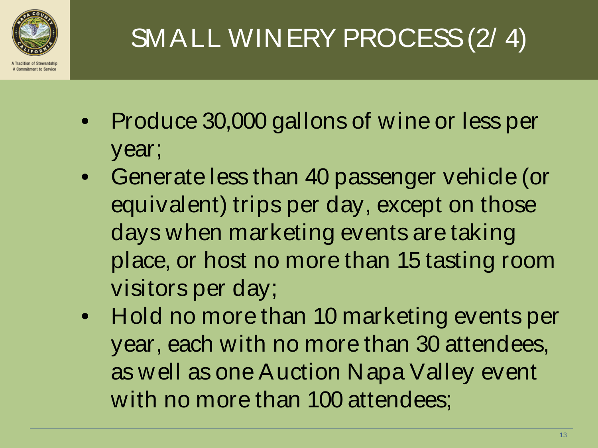

# SMALL WINERY PROCESS (2/ 4)

- Produce 30,000 gallons of wine or less per year;
- Generate less than 40 passenger vehicle (or equivalent) trips per day, except on those days when marketing events are taking place, or host no more than 15 tasting room visitors per day;
- Hold no more than 10 marketing events per year, each with no more than 30 attendees, as well as one Auction Napa Valley event with no more than 100 attendees;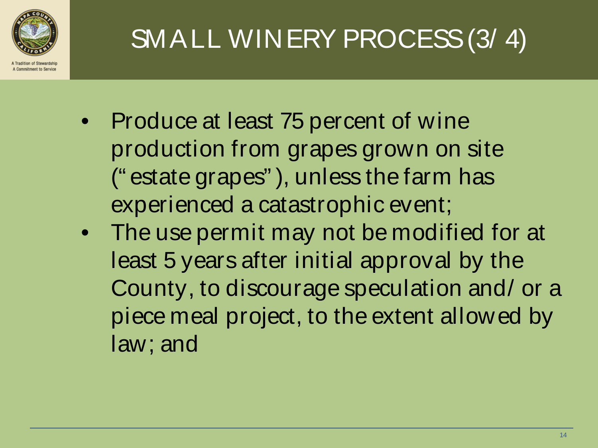

## SMALL WINERY PROCESS (3/ 4)

- Produce at least 75 percent of wine production from grapes grown on site (" estate grapes" ), unless the farm has experienced a catastrophic event;
- The use permit may not be modified for at least 5 years after initial approval by the County, to discourage speculation and/ or a piece meal project, to the extent allowed by law; and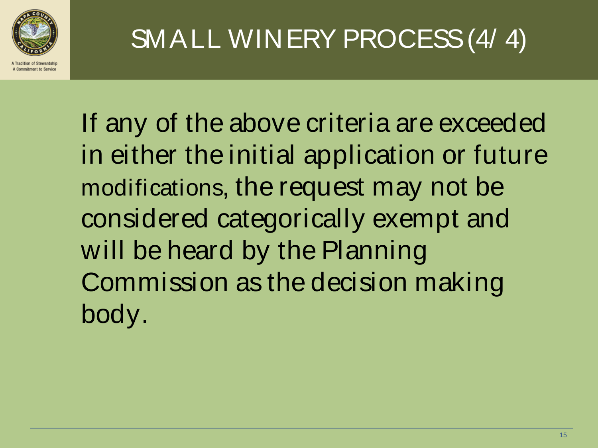

### SMALL WINERY PROCESS (4/ 4)

If any of the above criteria are exceeded in either the initial application or future modifications, the request may not be considered categorically exempt and will be heard by the Planning Commission as the decision making body.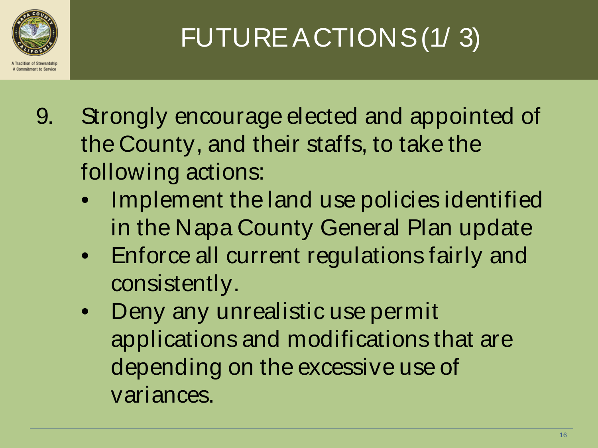

# FUTURE ACTIONS (1/ 3)

- 9. Strongly encourage elected and appointed of the County, and their staffs, to take the following actions:
	- Implement the land use policies identified in the Napa County General Plan update
	- Enforce all current regulations fairly and consistently.
	- Deny any unrealistic use permit applications and modifications that are depending on the excessive use of variances.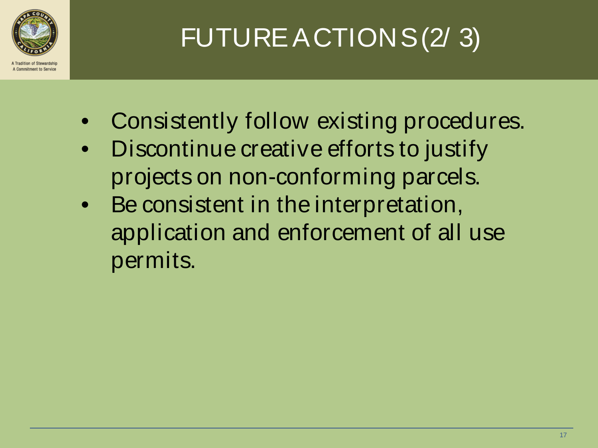

## FUTURE ACTIONS (2/ 3)

- Consistently follow existing procedures.
- Discontinue creative efforts to justify projects on non-conforming parcels.
- Be consistent in the interpretation, application and enforcement of all use permits.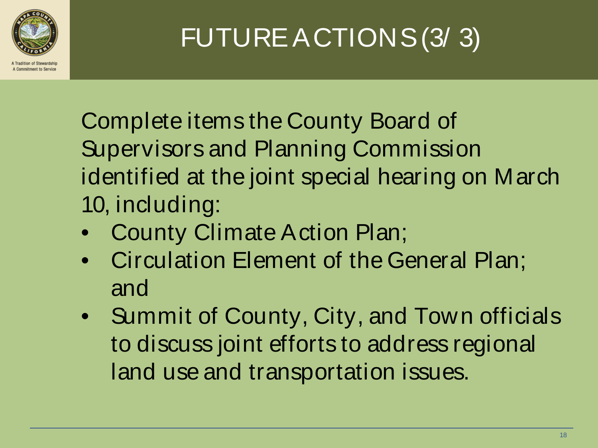

FUTURE ACTIONS (3/ 3)

Complete items the County Board of Supervisors and Planning Commission identified at the joint special hearing on March 10, including:

- County Climate Action Plan;
- Circulation Element of the General Plan; and
- Summit of County, City, and Town officials to discuss joint efforts to address regional land use and transportation issues.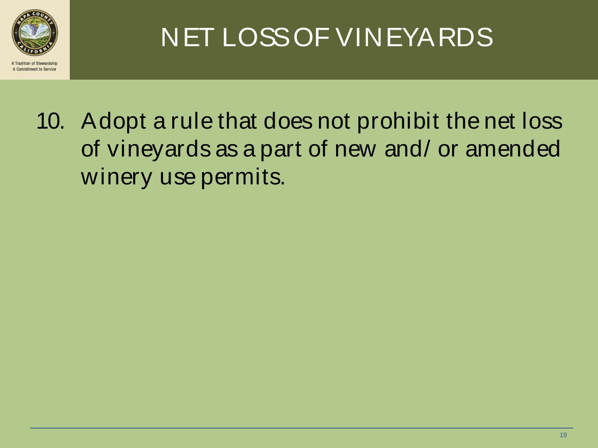

### NET LOSS OF VINEYARDS

10. Adopt a rule that does not prohibit the net loss of vineyards as a part of new and/ or amended winery use permits.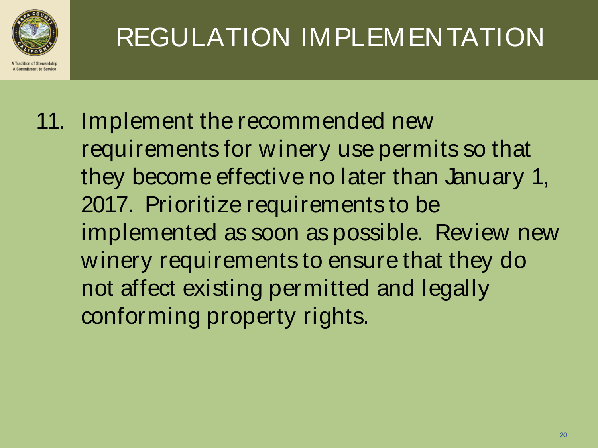

11. Implement the recommended new requirements for winery use permits so that they become effective no later than January 1, 2017. Prioritize requirements to be implemented as soon as possible. Review new winery requirements to ensure that they do not affect existing permitted and legally conforming property rights.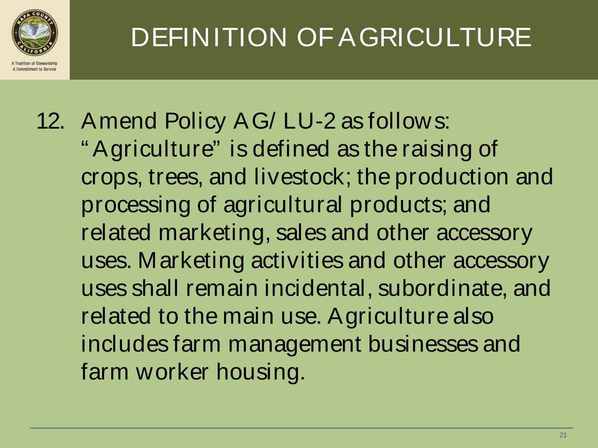

DEFINITION OF AGRICULTURE

12. Amend Policy AG/ LU-2 as follows: " Agriculture" is defined as the raising of crops, trees, and livestock; the production and processing of agricultural products; and related marketing, sales and other accessory uses. Marketing activities and other accessory uses shall remain incidental, subordinate, and related to the main use. Agriculture also includes farm management businesses and farm worker housing.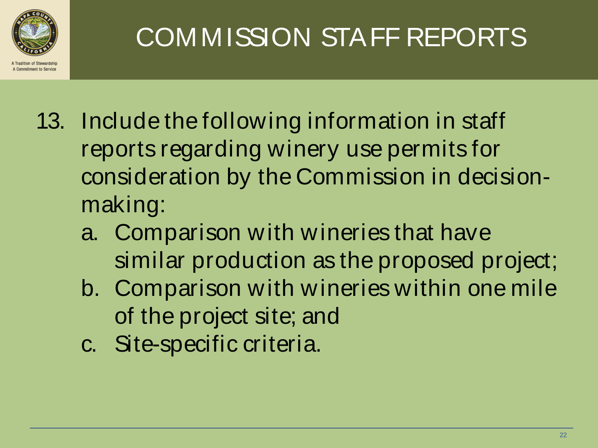

### COMMISSION STAFF REPORTS

- 13. Include the following information in staff reports regarding winery use permits for consideration by the Commission in decisionmaking:
	- a. Comparison with wineries that have similar production as the proposed project;
	- b. Comparison with wineries within one mile of the project site; and
	- c. Site-specific criteria.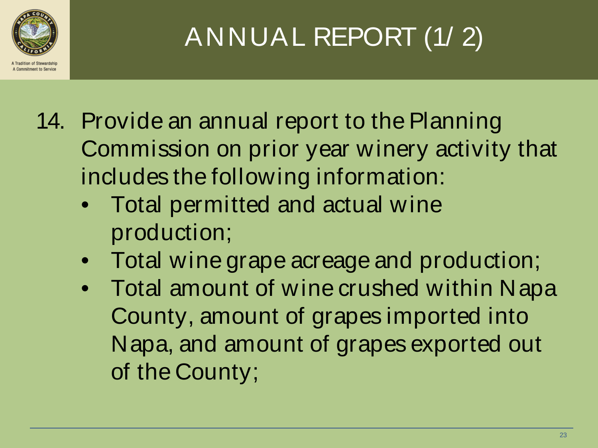

## ANNUAL REPORT (1/ 2)

- 14. Provide an annual report to the Planning Commission on prior year winery activity that includes the following information:
	- Total permitted and actual wine production;
	- Total wine grape acreage and production;
	- Total amount of wine crushed within Napa County, amount of grapes imported into Napa, and amount of grapes exported out of the County;